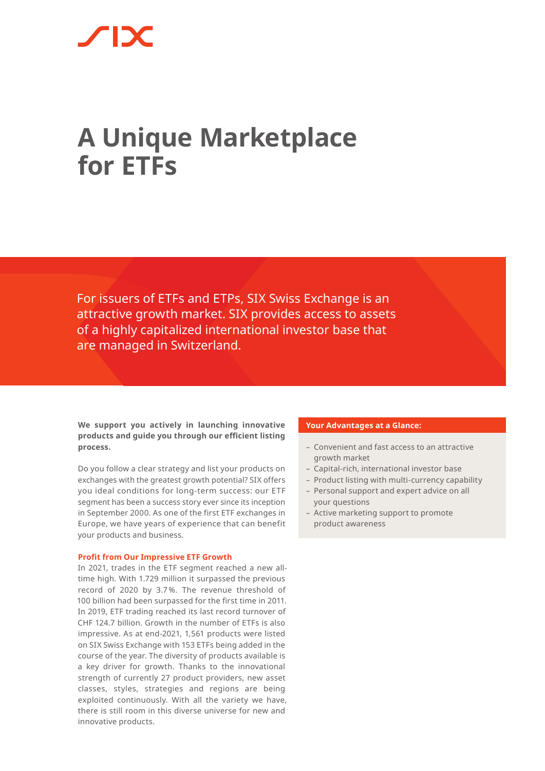# **A Unique Marketplace for ETFs**

For issuers of ETFs and ETPs, SIX Swiss Exchange is an attractive growth market. SIX provides access to assets of a highly capitalized international investor base that are managed in Switzerland.

**We support you actively in launching innovative products and guide you through our efficient listing process.** 

Do you follow a clear strategy and list your products on exchanges with the greatest growth potential? SIX offers you ideal conditions for long-term success: our ETF segment has been a success story ever since its inception in September 2000. As one of the first ETF exchanges in Europe, we have years of experience that can benefit your products and business.

#### **Profit from Our Impressive ETF Growth**

In 2021, trades in the ETF segment reached a new alltime high. With 1.729 million it surpassed the previous record of 2020 by 3.7 %. The revenue threshold of 100 billion had been surpassed for the first time in 2011. In 2019, ETF trading reached its last record turnover of CHF 124.7 billion. Growth in the number of ETFs is also impressive. As at end-2021, 1,561 products were listed on SIX Swiss Exchange with 153 ETFs being added in the course of the year. The diversity of products available is a key driver for growth. Thanks to the innovational strength of currently 27 product providers, new asset classes, styles, strategies and regions are being exploited continuously. With all the variety we have, there is still room in this diverse universe for new and innovative products.

#### **Your Advantages at a Glance:**

- Convenient and fast access to an attractive growth market
- Capital-rich, international investor base
- Product listing with multi-currency capability
- Personal support and expert advice on all your questions
- Active marketing support to promote product awareness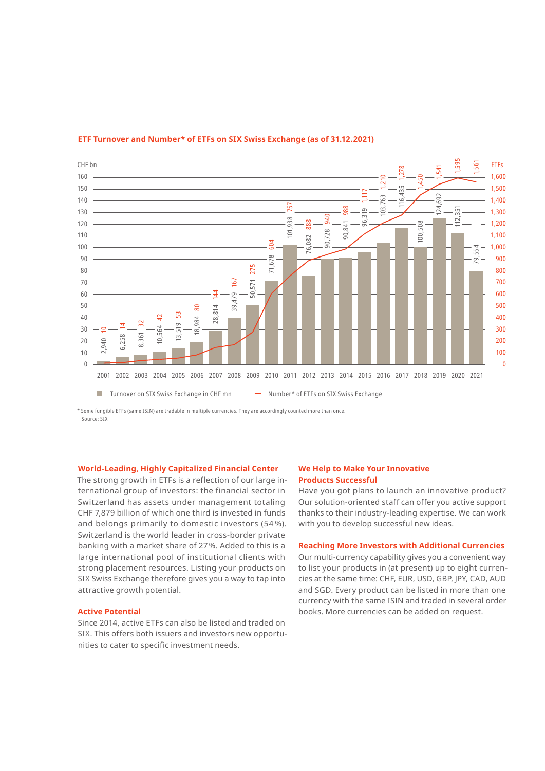

### **ETF Turnover and Number\* of ETFs on SIX Swiss Exchange (as of 31.12.2021)**

\* Some fungible ETFs (same ISIN) are tradable in multiple currencies. They are accordingly counted more than once. Source: SIX

### **World-Leading, Highly Capitalized Financial Center**

The strong growth in ETFs is a reflection of our large international group of investors: the financial sector in Switzerland has assets under management totaling CHF 7,879 billion of which one third is invested in funds and belongs primarily to domestic investors (54 %). Switzerland is the world leader in cross-border private banking with a market share of 27%. Added to this is a large international pool of institutional clients with strong placement resources. Listing your products on SIX Swiss Exchange therefore gives you a way to tap into attractive growth potential.

#### **Active Potential**

Since 2014, active ETFs can also be listed and traded on SIX. This offers both issuers and investors new opportunities to cater to specific investment needs.

#### **We Help to Make Your Innovative Products Successful**

Have you got plans to launch an innovative product? Our solution-oriented staff can offer you active support thanks to their industry-leading expertise. We can work with you to develop successful new ideas.

#### **Reaching More Investors with Additional Currencies**

Our multi-currency capability gives you a convenient way to list your products in (at present) up to eight currencies at the same time: CHF, EUR, USD, GBP, JPY, CAD, AUD and SGD. Every product can be listed in more than one currency with the same ISIN and traded in several order books. More currencies can be added on request.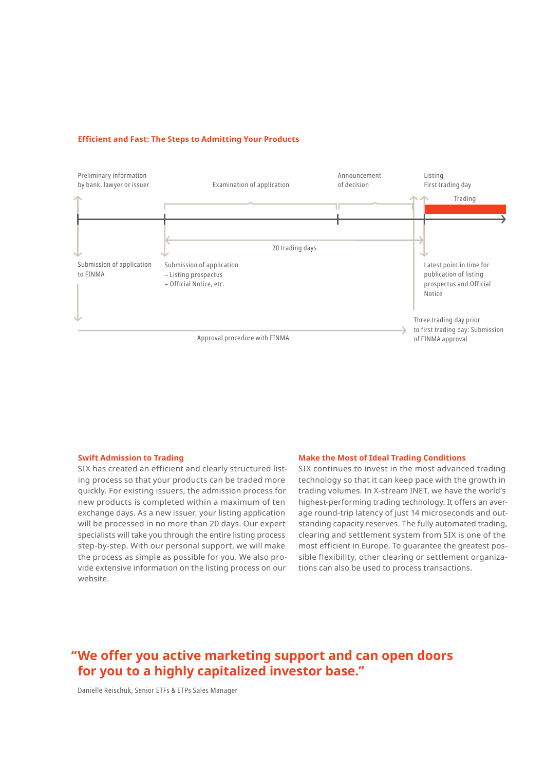#### **Efficient and Fast: The Steps to Admitting Your Products**



#### **Swift Admission to Trading**

SIX has created an efficient and clearly structured listing process so that your products can be traded more quickly. For existing issuers, the admission process for new products is completed within a maximum of ten exchange days. As a new issuer, your listing application will be processed in no more than 20 days. Our expert specialists will take you through the entire listing process step-by-step. With our personal support, we will make the process as simple as possible for you. We also provide extensive information on the listing process on our website.

#### **Make the Most of Ideal Trading Conditions**

SIX continues to invest in the most advanced trading technology so that it can keep pace with the growth in trading volumes. In X-stream INET, we have the world's highest-performing trading technology. It offers an average round-trip latency of just 14 microseconds and outstanding capacity reserves. The fully automated trading, clearing and settlement system from SIX is one of the most efficient in Europe. To guarantee the greatest possible flexibility, other clearing or settlement organizations can also be used to process transactions.

## **"We offer you active marketing support and can open doors for you to a highly capitalized investor base."**

Danielle Reischuk, Senior ETFs & ETPs Sales Manager